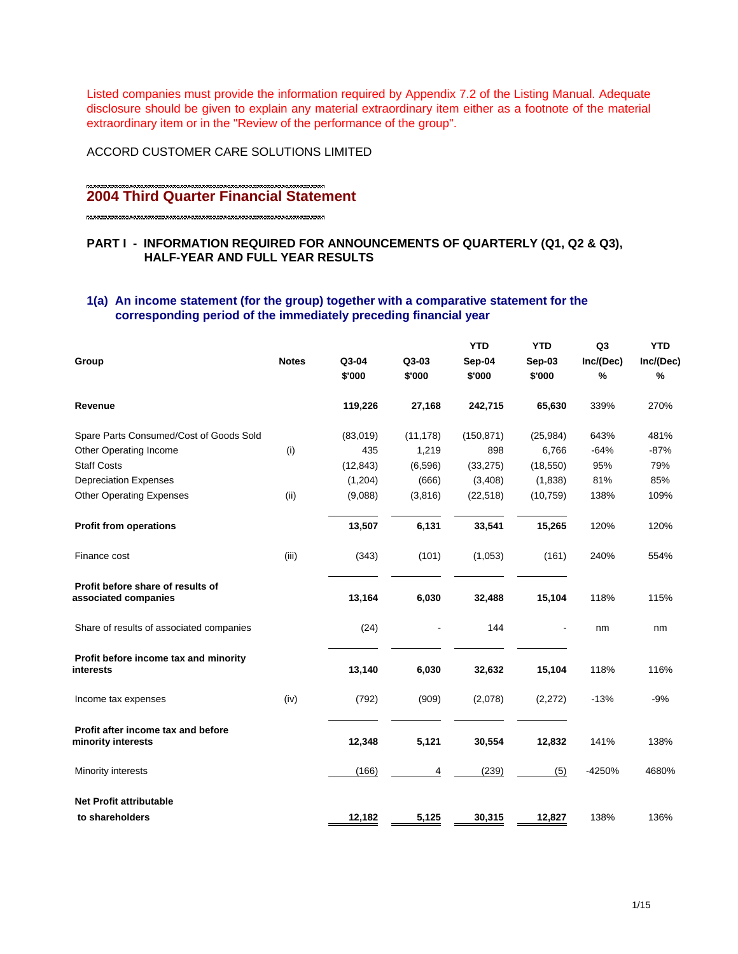Listed companies must provide the information required by Appendix 7.2 of the Listing Manual. Adequate disclosure should be given to explain any material extraordinary item either as a footnote of the material extraordinary item or in the "Review of the performance of the group".

## ACCORD CUSTOMER CARE SOLUTIONS LIMITED

# **2004 Third Quarter Financial Statement**

# **PART I - INFORMATION REQUIRED FOR ANNOUNCEMENTS OF QUARTERLY (Q1, Q2 & Q3), HALF-YEAR AND FULL YEAR RESULTS**

# **1(a) An income statement (for the group) together with a comparative statement for the corresponding period of the immediately preceding financial year**

| Group                                                     | <b>Notes</b> | Q3-04<br>\$'000 | Q3-03<br>\$'000 | <b>YTD</b><br>Sep-04<br>\$'000 | <b>YTD</b><br>Sep-03<br>\$'000 | Q <sub>3</sub><br>Inc/(Dec)<br>% | <b>YTD</b><br>Inc/(Dec)<br>% |
|-----------------------------------------------------------|--------------|-----------------|-----------------|--------------------------------|--------------------------------|----------------------------------|------------------------------|
| Revenue                                                   |              | 119,226         | 27,168          | 242,715                        | 65,630                         | 339%                             | 270%                         |
| Spare Parts Consumed/Cost of Goods Sold                   |              | (83,019)        | (11, 178)       | (150, 871)                     | (25, 984)                      | 643%                             | 481%                         |
| Other Operating Income                                    | (i)          | 435             | 1,219           | 898                            | 6,766                          | $-64%$                           | $-87%$                       |
| <b>Staff Costs</b>                                        |              | (12, 843)       | (6, 596)        | (33, 275)                      | (18, 550)                      | 95%                              | 79%                          |
| <b>Depreciation Expenses</b>                              |              | (1,204)         | (666)           | (3,408)                        | (1,838)                        | 81%                              | 85%                          |
| <b>Other Operating Expenses</b>                           | (ii)         | (9,088)         | (3,816)         | (22, 518)                      | (10, 759)                      | 138%                             | 109%                         |
| <b>Profit from operations</b>                             |              | 13,507          | 6,131           | 33,541                         | 15,265                         | 120%                             | 120%                         |
| Finance cost                                              | (iii)        | (343)           | (101)           | (1,053)                        | (161)                          | 240%                             | 554%                         |
| Profit before share of results of<br>associated companies |              | 13,164          | 6,030           | 32,488                         | 15,104                         | 118%                             | 115%                         |
| Share of results of associated companies                  |              | (24)            |                 | 144                            |                                | nm                               | nm                           |
| Profit before income tax and minority<br>interests        |              | 13,140          | 6,030           | 32,632                         | 15,104                         | 118%                             | 116%                         |
| Income tax expenses                                       | (iv)         | (792)           | (909)           | (2,078)                        | (2,272)                        | $-13%$                           | $-9%$                        |
| Profit after income tax and before<br>minority interests  |              | 12,348          | 5,121           | 30,554                         | 12,832                         | 141%                             | 138%                         |
| Minority interests                                        |              | (166)           | 4               | (239)                          | (5)                            | -4250%                           | 4680%                        |
| <b>Net Profit attributable</b>                            |              |                 |                 |                                |                                |                                  |                              |
| to shareholders                                           |              | 12,182          | 5,125           | 30,315                         | 12,827                         | 138%                             | 136%                         |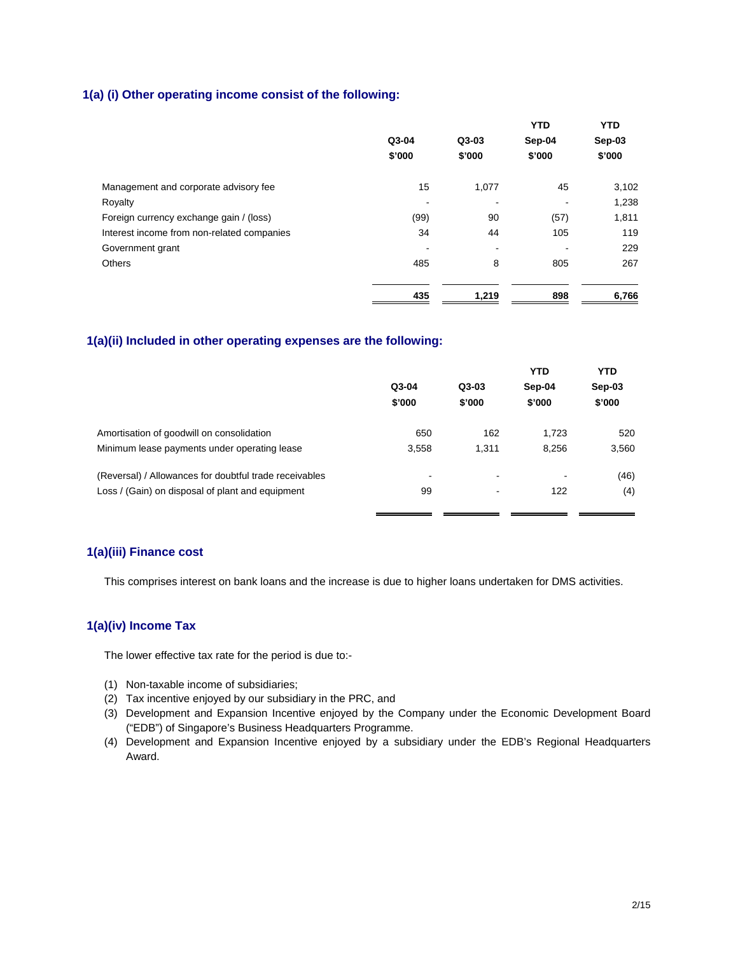## **1(a) (i) Other operating income consist of the following:**

|                                            |                |                          | <b>YTD</b> | <b>YTD</b> |
|--------------------------------------------|----------------|--------------------------|------------|------------|
|                                            | Q3-04          | $Q3-03$                  | Sep-04     | Sep-03     |
|                                            | \$'000         | \$'000                   | \$'000     | \$'000     |
| Management and corporate advisory fee      | 15             | 1,077                    | 45         | 3,102      |
| Royalty                                    | $\blacksquare$ | $\overline{\phantom{a}}$ | ٠          | 1,238      |
| Foreign currency exchange gain / (loss)    | (99)           | 90                       | (57)       | 1,811      |
| Interest income from non-related companies | 34             | 44                       | 105        | 119        |
| Government grant                           |                | $\overline{\phantom{0}}$ | -          | 229        |
| <b>Others</b>                              | 485            | 8                        | 805        | 267        |
|                                            | 435            | 1,219                    | 898        | 6,766      |

#### **1(a)(ii) Included in other operating expenses are the following:**

|                                                        | Q3-04<br>\$'000          | $Q3-03$<br>\$'000 | <b>YTD</b><br>Sep-04<br>\$'000 | <b>YTD</b><br>Sep-03<br>\$'000 |
|--------------------------------------------------------|--------------------------|-------------------|--------------------------------|--------------------------------|
| Amortisation of goodwill on consolidation              | 650                      | 162               | 1.723                          | 520                            |
| Minimum lease payments under operating lease           | 3,558                    | 1.311             | 8,256                          | 3,560                          |
| (Reversal) / Allowances for doubtful trade receivables | $\overline{\phantom{a}}$ | ٠                 |                                | (46)                           |
| Loss / (Gain) on disposal of plant and equipment       | 99                       | ٠                 | 122                            | (4)                            |
|                                                        |                          |                   |                                |                                |

# **1(a)(iii) Finance cost**

This comprises interest on bank loans and the increase is due to higher loans undertaken for DMS activities.

## **1(a)(iv) Income Tax**

The lower effective tax rate for the period is due to:-

- (1) Non-taxable income of subsidiaries;
- (2) Tax incentive enjoyed by our subsidiary in the PRC, and
- (3) Development and Expansion Incentive enjoyed by the Company under the Economic Development Board ("EDB") of Singapore's Business Headquarters Programme.
- (4) Development and Expansion Incentive enjoyed by a subsidiary under the EDB's Regional Headquarters Award.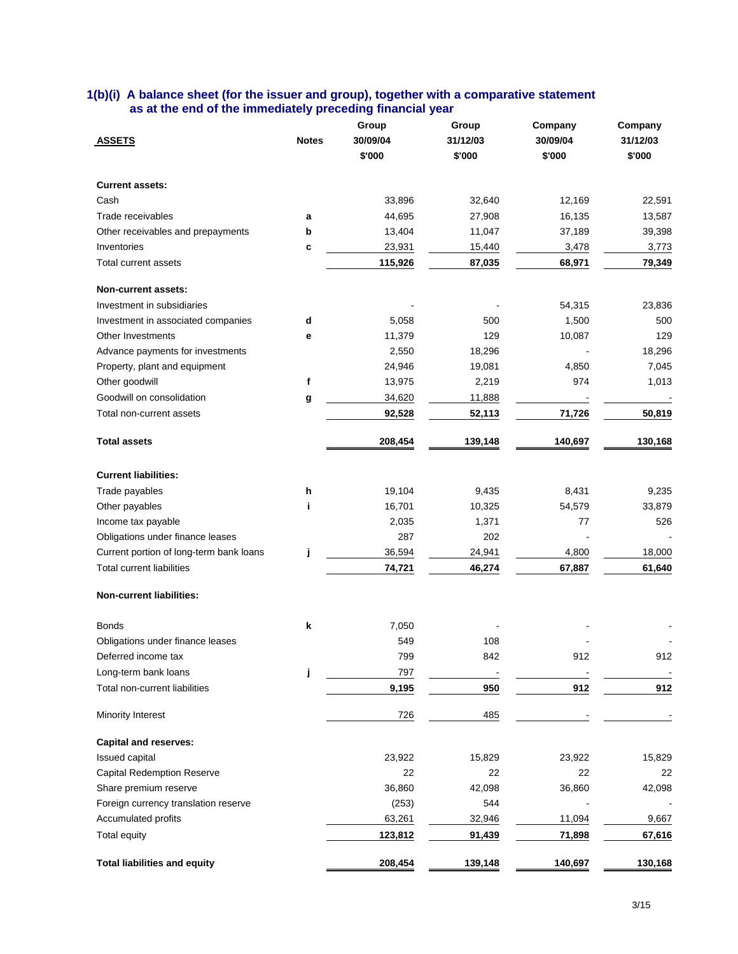| 1(b)(i) A balance sheet (for the issuer and group), together with a comparative statement |  |  |
|-------------------------------------------------------------------------------------------|--|--|
| as at the end of the immediately preceding financial year                                 |  |  |

| <b>ASSETS</b>                           | <b>Notes</b> | Group<br>30/09/04<br>\$'000 | Group<br>31/12/03<br>\$'000 | Company<br>30/09/04<br>\$'000 | Company<br>31/12/03<br>\$'000 |
|-----------------------------------------|--------------|-----------------------------|-----------------------------|-------------------------------|-------------------------------|
| <b>Current assets:</b>                  |              |                             |                             |                               |                               |
| Cash                                    |              | 33,896                      | 32,640                      | 12,169                        | 22,591                        |
| Trade receivables                       | a            | 44,695                      | 27,908                      | 16,135                        | 13,587                        |
| Other receivables and prepayments       | b            | 13,404                      | 11,047                      | 37,189                        | 39,398                        |
| Inventories                             | c            | 23,931                      | 15,440                      | 3,478                         | 3,773                         |
| Total current assets                    |              | 115,926                     | 87,035                      | 68,971                        | 79,349                        |
| <b>Non-current assets:</b>              |              |                             |                             |                               |                               |
| Investment in subsidiaries              |              |                             |                             | 54,315                        | 23,836                        |
| Investment in associated companies      | d            | 5,058                       | 500                         | 1,500                         | 500                           |
| Other Investments                       | е            | 11,379                      | 129                         | 10,087                        | 129                           |
| Advance payments for investments        |              | 2,550                       | 18,296                      |                               | 18,296                        |
| Property, plant and equipment           |              | 24,946                      | 19,081                      | 4,850                         | 7,045                         |
| Other goodwill                          | f            | 13,975                      | 2,219                       | 974                           | 1,013                         |
| Goodwill on consolidation               | g            | 34,620                      | 11,888                      | $\overline{\phantom{a}}$      |                               |
| Total non-current assets                |              | 92,528                      | 52,113                      | 71,726                        | 50,819                        |
| <b>Total assets</b>                     |              | 208,454                     | 139,148                     | 140,697                       | 130,168                       |
| <b>Current liabilities:</b>             |              |                             |                             |                               |                               |
| Trade payables                          | h            | 19,104                      | 9,435                       | 8,431                         | 9,235                         |
| Other payables                          | i            | 16,701                      | 10,325                      | 54,579                        | 33,879                        |
| Income tax payable                      |              | 2,035                       | 1,371                       | 77                            | 526                           |
| Obligations under finance leases        |              | 287                         | 202                         |                               |                               |
| Current portion of long-term bank loans | j            | 36,594                      | 24,941                      | 4,800                         | 18,000                        |
| <b>Total current liabilities</b>        |              | 74,721                      | 46,274                      | 67,887                        | 61,640                        |
| <b>Non-current liabilities:</b>         |              |                             |                             |                               |                               |
| Bonds                                   | k            | 7,050                       |                             |                               |                               |
| Obligations under finance leases        |              | 549                         | 108                         |                               |                               |
| Deferred income tax                     |              | 799                         | 842                         | 912                           | 912                           |
| Long-term bank loans                    | j            | 797                         |                             |                               |                               |
| Total non-current liabilities           |              | 9,195                       | 950                         | 912                           | 912                           |
| Minority Interest                       |              | 726                         | 485                         |                               |                               |
| <b>Capital and reserves:</b>            |              |                             |                             |                               |                               |
| Issued capital                          |              | 23,922                      | 15,829                      | 23,922                        | 15,829                        |
| <b>Capital Redemption Reserve</b>       |              | 22                          | 22                          | 22                            | 22                            |
| Share premium reserve                   |              | 36,860                      | 42,098                      | 36,860                        | 42,098                        |
| Foreign currency translation reserve    |              | (253)                       | 544                         |                               |                               |
| Accumulated profits                     |              | 63,261                      | 32,946                      | 11,094                        | 9,667                         |
| Total equity                            |              | 123,812                     | 91,439                      | 71,898                        | 67,616                        |
| <b>Total liabilities and equity</b>     |              | 208,454                     | 139,148                     | 140,697                       | 130,168                       |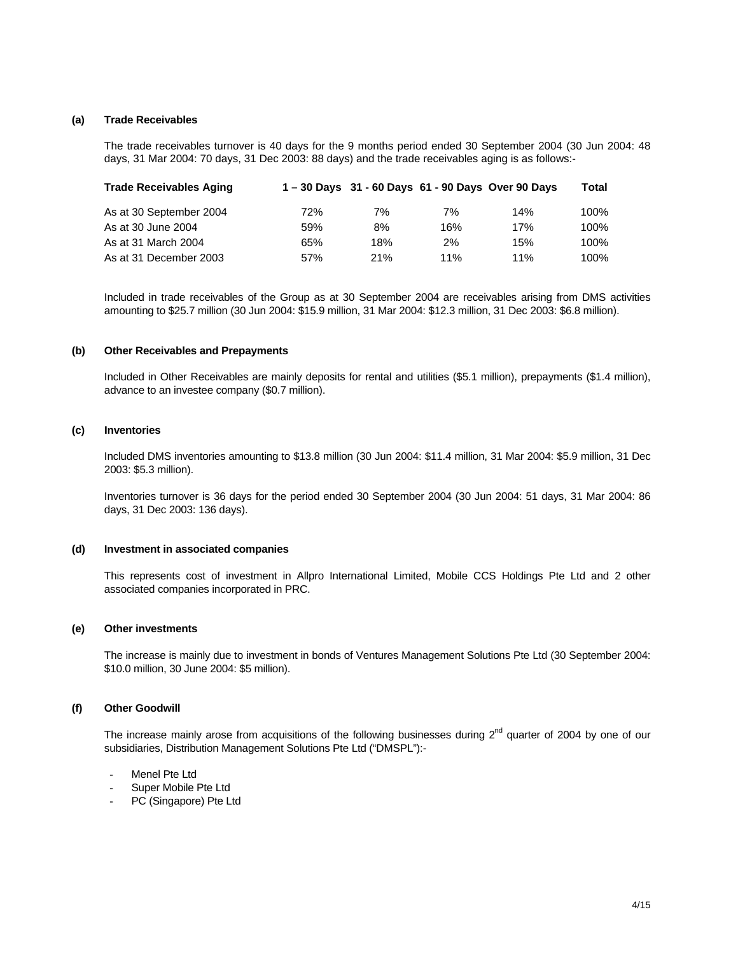#### **(a) Trade Receivables**

The trade receivables turnover is 40 days for the 9 months period ended 30 September 2004 (30 Jun 2004: 48 days, 31 Mar 2004: 70 days, 31 Dec 2003: 88 days) and the trade receivables aging is as follows:-

| <b>Trade Receivables Aging</b> |     |     |     | 1-30 Days 31 - 60 Days 61 - 90 Days Over 90 Days | Total |
|--------------------------------|-----|-----|-----|--------------------------------------------------|-------|
| As at 30 September 2004        | 72% | 7%  | 7%  | 14%                                              | 100%  |
| As at 30 June 2004             | 59% | 8%  | 16% | 17%                                              | 100%  |
| As at 31 March 2004            | 65% | 18% | 2%  | 15%                                              | 100%  |
| As at 31 December 2003         | 57% | 21% | 11% | 11%                                              | 100%  |

Included in trade receivables of the Group as at 30 September 2004 are receivables arising from DMS activities amounting to \$25.7 million (30 Jun 2004: \$15.9 million, 31 Mar 2004: \$12.3 million, 31 Dec 2003: \$6.8 million).

#### **(b) Other Receivables and Prepayments**

Included in Other Receivables are mainly deposits for rental and utilities (\$5.1 million), prepayments (\$1.4 million), advance to an investee company (\$0.7 million).

## **(c) Inventories**

Included DMS inventories amounting to \$13.8 million (30 Jun 2004: \$11.4 million, 31 Mar 2004: \$5.9 million, 31 Dec 2003: \$5.3 million).

Inventories turnover is 36 days for the period ended 30 September 2004 (30 Jun 2004: 51 days, 31 Mar 2004: 86 days, 31 Dec 2003: 136 days).

#### **(d) Investment in associated companies**

This represents cost of investment in Allpro International Limited, Mobile CCS Holdings Pte Ltd and 2 other associated companies incorporated in PRC.

#### **(e) Other investments**

The increase is mainly due to investment in bonds of Ventures Management Solutions Pte Ltd (30 September 2004: \$10.0 million, 30 June 2004: \$5 million).

#### **(f) Other Goodwill**

The increase mainly arose from acquisitions of the following businesses during  $2<sup>nd</sup>$  quarter of 2004 by one of our subsidiaries, Distribution Management Solutions Pte Ltd ("DMSPL"):-

- Menel Pte Ltd
- Super Mobile Pte Ltd
- PC (Singapore) Pte Ltd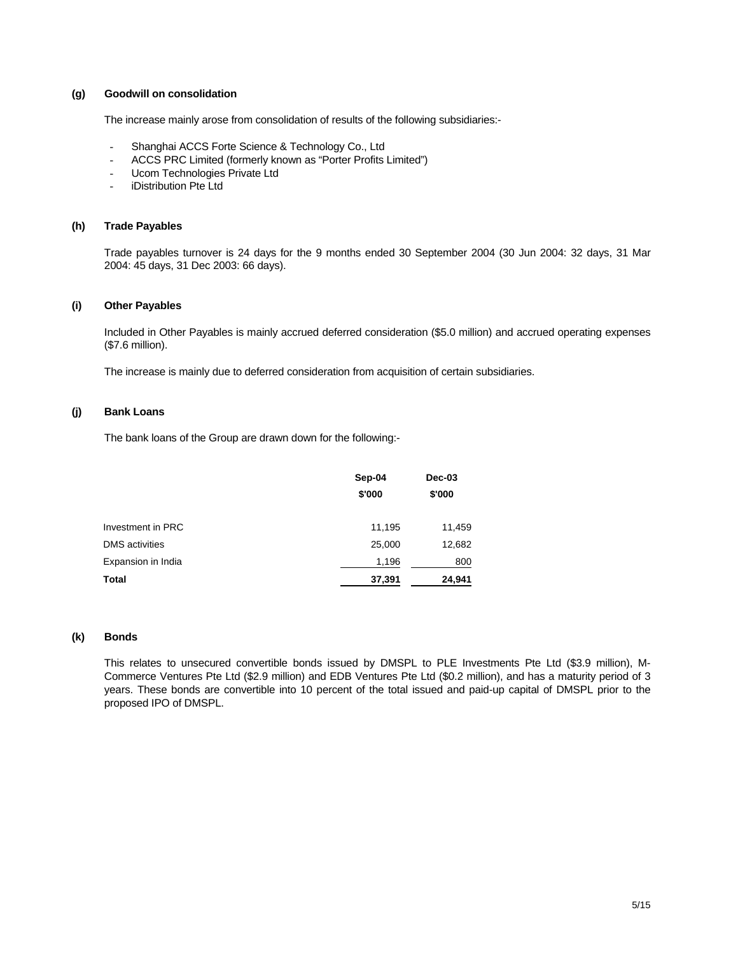#### **(g) Goodwill on consolidation**

The increase mainly arose from consolidation of results of the following subsidiaries:-

- Shanghai ACCS Forte Science & Technology Co., Ltd
- ACCS PRC Limited (formerly known as "Porter Profits Limited")
- Ucom Technologies Private Ltd
- **iDistribution Pte Ltd**

#### **(h) Trade Payables**

Trade payables turnover is 24 days for the 9 months ended 30 September 2004 (30 Jun 2004: 32 days, 31 Mar 2004: 45 days, 31 Dec 2003: 66 days).

#### **(i) Other Payables**

Included in Other Payables is mainly accrued deferred consideration (\$5.0 million) and accrued operating expenses (\$7.6 million).

The increase is mainly due to deferred consideration from acquisition of certain subsidiaries.

### **(j) Bank Loans**

The bank loans of the Group are drawn down for the following:-

|                       | Sep-04 | Dec-03 |
|-----------------------|--------|--------|
|                       | \$'000 | \$'000 |
|                       |        |        |
| Investment in PRC     | 11,195 | 11,459 |
| <b>DMS</b> activities | 25,000 | 12,682 |
| Expansion in India    | 1,196  | 800    |
| Total                 | 37,391 | 24,941 |

#### **(k) Bonds**

This relates to unsecured convertible bonds issued by DMSPL to PLE Investments Pte Ltd (\$3.9 million), M-Commerce Ventures Pte Ltd (\$2.9 million) and EDB Ventures Pte Ltd (\$0.2 million), and has a maturity period of 3 years. These bonds are convertible into 10 percent of the total issued and paid-up capital of DMSPL prior to the proposed IPO of DMSPL.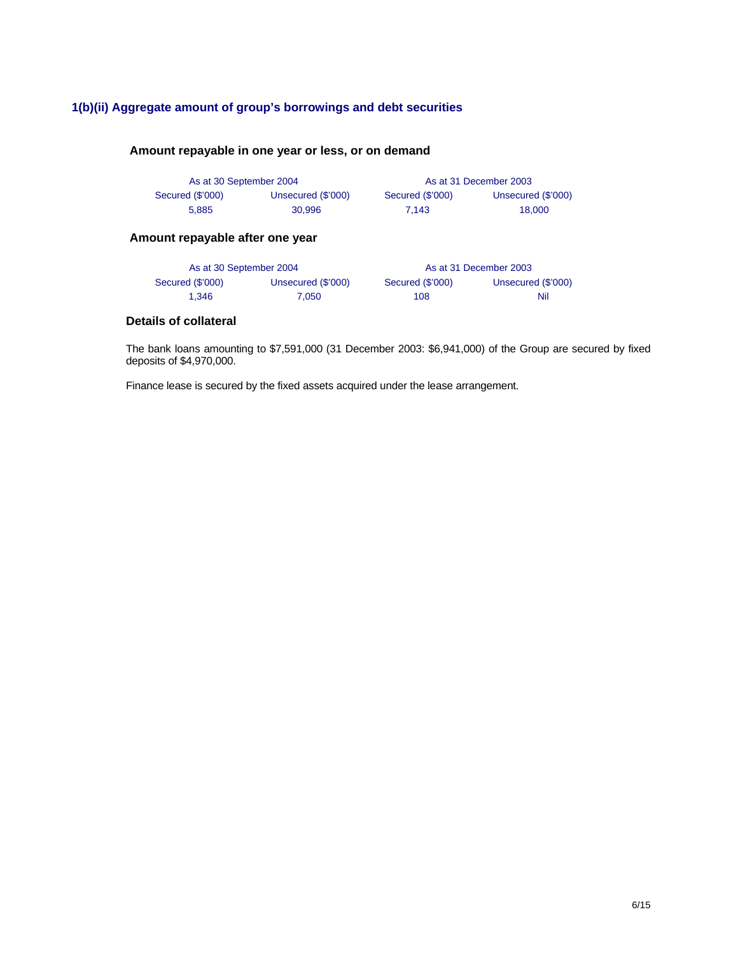# **1(b)(ii) Aggregate amount of group's borrowings and debt securities**

## **Amount repayable in one year or less, or on demand**

| As at 30 September 2004 |                    |                  | As at 31 December 2003 |
|-------------------------|--------------------|------------------|------------------------|
| Secured (\$'000)        | Unsecured (\$'000) | Secured (\$'000) | Unsecured (\$'000)     |
| 5.885                   | 30.996             | 7.143            | 18.000                 |

## **Amount repayable after one year**

| As at 30 September 2004 |                    |                  | As at 31 December 2003 |
|-------------------------|--------------------|------------------|------------------------|
| Secured (\$'000)        | Unsecured (\$'000) | Secured (\$'000) | Unsecured (\$'000)     |
| 1.346                   | 7.050              | 108              | Nil                    |

# **Details of collateral**

The bank loans amounting to \$7,591,000 (31 December 2003: \$6,941,000) of the Group are secured by fixed deposits of \$4,970,000.

Finance lease is secured by the fixed assets acquired under the lease arrangement.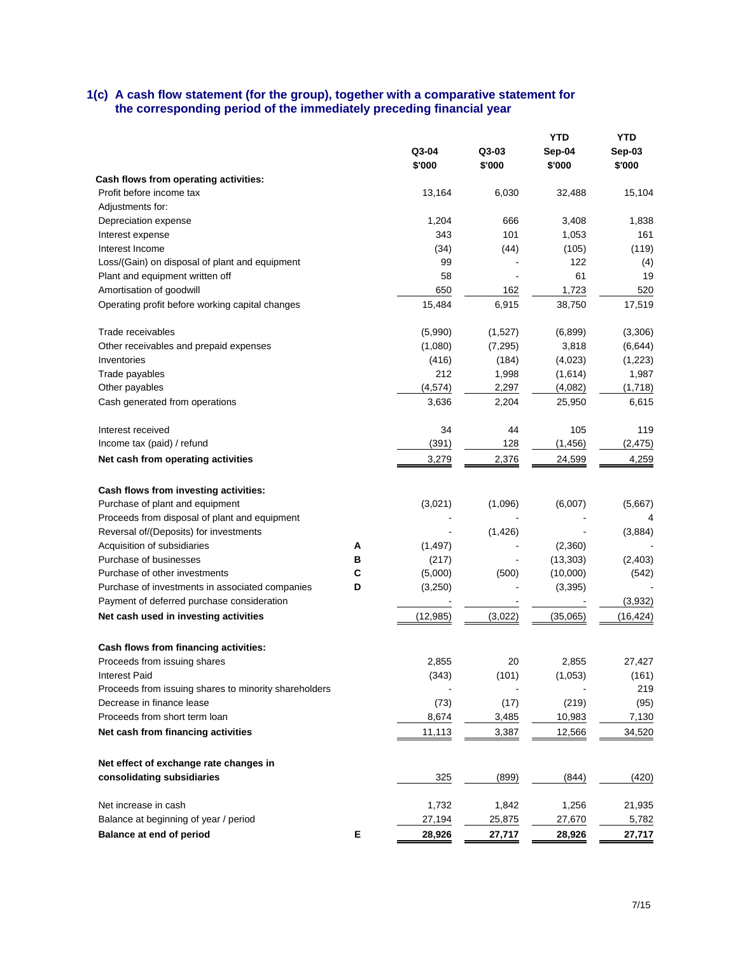## **1(c) A cash flow statement (for the group), together with a comparative statement for the corresponding period of the immediately preceding financial year**

|                                                                        |   |           |          |           | YTD          |
|------------------------------------------------------------------------|---|-----------|----------|-----------|--------------|
|                                                                        |   | Q3-04     | Q3-03    | Sep-04    | Sep-03       |
|                                                                        |   | \$'000    | \$'000   | \$'000    | \$'000       |
| Cash flows from operating activities:                                  |   |           |          |           |              |
| Profit before income tax                                               |   | 13,164    | 6,030    | 32,488    | 15,104       |
| Adjustments for:                                                       |   |           |          |           |              |
| Depreciation expense                                                   |   | 1,204     | 666      | 3,408     | 1,838        |
| Interest expense                                                       |   | 343       | 101      | 1,053     | 161          |
| Interest Income                                                        |   | (34)      | (44)     | (105)     | (119)        |
| Loss/(Gain) on disposal of plant and equipment                         |   | 99        |          | 122       | (4)          |
| Plant and equipment written off                                        |   | 58        |          | 61        | 19           |
| Amortisation of goodwill                                               |   | 650       | 162      | 1,723     | 520          |
| Operating profit before working capital changes                        |   | 15,484    | 6,915    | 38,750    | 17,519       |
| Trade receivables                                                      |   | (5,990)   | (1,527)  | (6,899)   | (3,306)      |
| Other receivables and prepaid expenses                                 |   | (1,080)   | (7, 295) | 3,818     | (6, 644)     |
| Inventories                                                            |   | (416)     | (184)    | (4,023)   | (1,223)      |
| Trade payables                                                         |   | 212       | 1,998    | (1,614)   | 1,987        |
| Other payables                                                         |   | (4, 574)  | 2,297    | (4,082)   | (1,718)      |
| Cash generated from operations                                         |   | 3,636     | 2,204    | 25,950    | 6,615        |
| Interest received                                                      |   | 34        | 44       | 105       | 119          |
| Income tax (paid) / refund                                             |   | (391)     | 128      | (1, 456)  | (2, 475)     |
| Net cash from operating activities                                     |   | 3,279     | 2,376    | 24,599    | 4,259        |
| Cash flows from investing activities:                                  |   |           |          |           |              |
| Purchase of plant and equipment                                        |   | (3,021)   | (1,096)  | (6,007)   | (5,667)      |
| Proceeds from disposal of plant and equipment                          |   |           |          |           |              |
| Reversal of/(Deposits) for investments                                 |   |           | (1, 426) |           | (3,884)      |
| Acquisition of subsidiaries                                            | А | (1, 497)  |          | (2,360)   |              |
| Purchase of businesses                                                 | в | (217)     |          | (13, 303) | (2,403)      |
| Purchase of other investments                                          | C | (5,000)   | (500)    | (10,000)  | (542)        |
| Purchase of investments in associated companies                        | D | (3,250)   |          | (3,395)   |              |
| Payment of deferred purchase consideration                             |   |           |          |           | (3,932)      |
| Net cash used in investing activities                                  |   | (12, 985) | (3,022)  | (35,065)  | (16, 424)    |
| Cash flows from financing activities:                                  |   |           |          |           |              |
|                                                                        |   |           | 20       | 2,855     | 27,427       |
| Proceeds from issuing shares                                           |   | 2,855     |          |           |              |
| Interest Paid<br>Proceeds from issuing shares to minority shareholders |   | (343)     | (101)    | (1,053)   | (161)<br>219 |
| Decrease in finance lease                                              |   |           |          |           |              |
| Proceeds from short term loan                                          |   | (73)      | (17)     | (219)     | (95)         |
|                                                                        |   | 8,674     | 3,485    | 10,983    | 7,130        |
| Net cash from financing activities                                     |   | 11,113    | 3,387    | 12,566    | 34,520       |
| Net effect of exchange rate changes in                                 |   |           |          |           |              |
| consolidating subsidiaries                                             |   | 325       | (899)    | (844)     | (420)        |
| Net increase in cash                                                   |   | 1,732     | 1,842    | 1,256     | 21,935       |
| Balance at beginning of year / period                                  |   | 27,194    | 25,875   | 27,670    | 5,782        |
| <b>Balance at end of period</b>                                        | Е | 28,926    | 27,717   | 28,926    | 27,717       |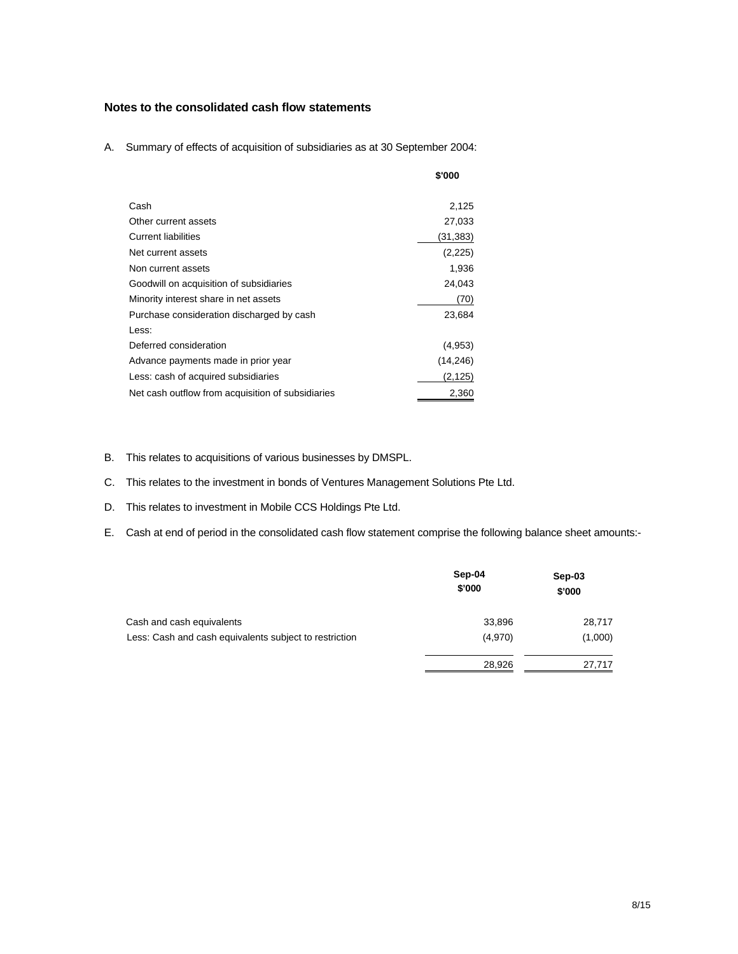# **Notes to the consolidated cash flow statements**

A. Summary of effects of acquisition of subsidiaries as at 30 September 2004:

|                                                   | \$'000   |
|---------------------------------------------------|----------|
|                                                   |          |
| Cash                                              | 2,125    |
| Other current assets                              | 27,033   |
| <b>Current liabilities</b>                        | (31,383) |
| Net current assets                                | (2,225)  |
| Non current assets                                | 1,936    |
| Goodwill on acquisition of subsidiaries           | 24,043   |
| Minority interest share in net assets             | (70)     |
| Purchase consideration discharged by cash         | 23,684   |
| Less:                                             |          |
| Deferred consideration                            | (4,953)  |
| Advance payments made in prior year               | (14,246) |
| Less: cash of acquired subsidiaries               | (2, 125) |
| Net cash outflow from acquisition of subsidiaries | 2,360    |

- B. This relates to acquisitions of various businesses by DMSPL.
- C. This relates to the investment in bonds of Ventures Management Solutions Pte Ltd.
- D. This relates to investment in Mobile CCS Holdings Pte Ltd.
- E. Cash at end of period in the consolidated cash flow statement comprise the following balance sheet amounts:-

|                                                        | Sep-04<br>\$'000 | Sep-03<br>\$'000 |
|--------------------------------------------------------|------------------|------------------|
| Cash and cash equivalents                              | 33,896           | 28,717           |
| Less: Cash and cash equivalents subject to restriction | (4,970)          | (1,000)          |
|                                                        | 28,926           | 27,717           |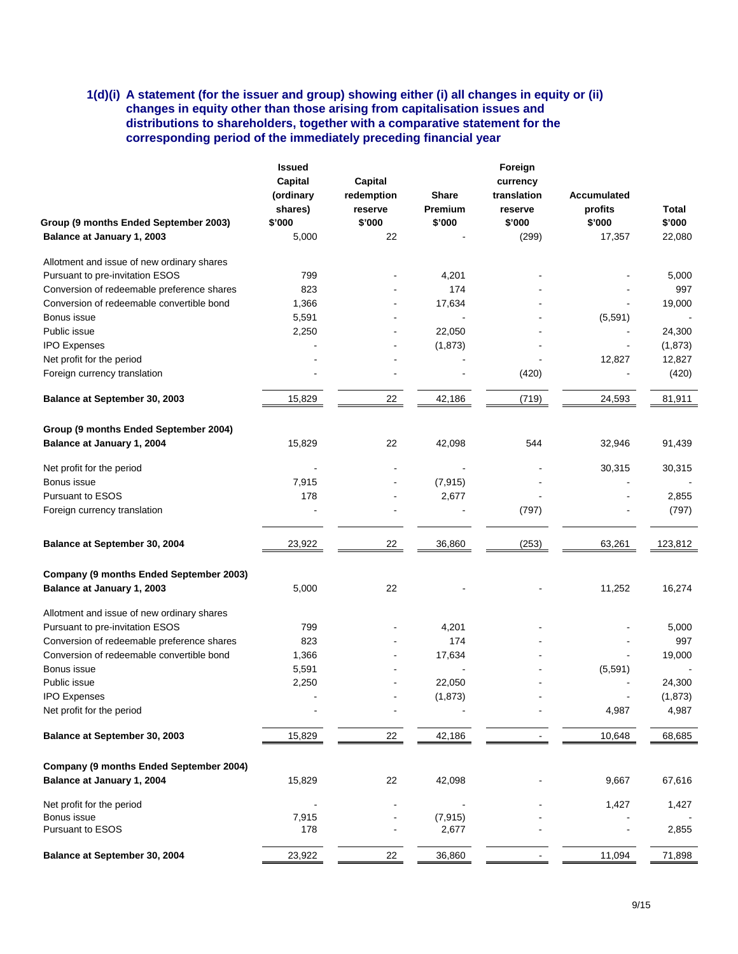## **1(d)(i) A statement (for the issuer and group) showing either (i) all changes in equity or (ii) changes in equity other than those arising from capitalisation issues and distributions to shareholders, together with a comparative statement for the corresponding period of the immediately preceding financial year**

|                                            | <b>Issued</b> |            |                | Foreign     |                    |          |
|--------------------------------------------|---------------|------------|----------------|-------------|--------------------|----------|
|                                            | Capital       | Capital    | currency       |             |                    |          |
|                                            |               |            |                |             |                    |          |
|                                            | (ordinary     | redemption | <b>Share</b>   | translation | <b>Accumulated</b> |          |
|                                            | shares)       | reserve    | <b>Premium</b> | reserve     | profits            | Total    |
| Group (9 months Ended September 2003)      | \$'000        | \$'000     | \$'000         | \$'000      | \$'000             | \$'000   |
| Balance at January 1, 2003                 | 5,000         | 22         |                | (299)       | 17,357             | 22,080   |
| Allotment and issue of new ordinary shares |               |            |                |             |                    |          |
| Pursuant to pre-invitation ESOS            | 799           |            | 4,201          |             |                    | 5,000    |
| Conversion of redeemable preference shares | 823           |            | 174            |             |                    | 997      |
| Conversion of redeemable convertible bond  | 1,366         |            | 17,634         |             |                    | 19,000   |
| Bonus issue                                | 5,591         |            |                |             | (5,591)            |          |
| Public issue                               | 2,250         |            | 22,050         |             |                    | 24,300   |
|                                            |               |            |                |             |                    |          |
| <b>IPO Expenses</b>                        |               |            | (1,873)        |             |                    | (1,873)  |
| Net profit for the period                  |               |            |                |             | 12,827             | 12,827   |
| Foreign currency translation               |               |            |                | (420)       |                    | (420)    |
| Balance at September 30, 2003              | 15,829        | 22         | 42,186         | (719)       | 24,593             | 81,911   |
| Group (9 months Ended September 2004)      |               |            |                |             |                    |          |
| Balance at January 1, 2004                 | 15,829        | 22         | 42,098         | 544         | 32,946             | 91,439   |
| Net profit for the period                  |               |            |                |             | 30,315             | 30,315   |
| Bonus issue                                | 7,915         |            | (7, 915)       |             |                    |          |
|                                            |               |            |                |             |                    |          |
| <b>Pursuant to ESOS</b>                    | 178           |            | 2,677          |             |                    | 2,855    |
| Foreign currency translation               |               |            |                | (797)       |                    | (797)    |
| Balance at September 30, 2004              | 23,922        | 22         | 36,860         | (253)       | 63,261             | 123,812  |
| Company (9 months Ended September 2003)    |               |            |                |             |                    |          |
| Balance at January 1, 2003                 | 5,000         | 22         |                |             | 11,252             | 16,274   |
| Allotment and issue of new ordinary shares |               |            |                |             |                    |          |
| Pursuant to pre-invitation ESOS            | 799           |            | 4,201          |             |                    | 5,000    |
| Conversion of redeemable preference shares | 823           |            | 174            |             |                    | 997      |
| Conversion of redeemable convertible bond  | 1,366         |            | 17,634         |             |                    | 19,000   |
| Bonus issue                                | 5,591         |            |                |             | (5, 591)           |          |
|                                            |               |            |                |             |                    |          |
| Public issue                               | 2,250         |            | 22,050         |             |                    | 24,300   |
| <b>IPO Expenses</b>                        |               |            | (1,873)        |             |                    | (1, 873) |
| Net profit for the period                  |               |            |                |             | 4,987              | 4,987    |
| Balance at September 30, 2003              | 15,829        | 22         | 42,186         |             | 10,648             | 68,685   |
| Company (9 months Ended September 2004)    |               |            |                |             |                    |          |
| Balance at January 1, 2004                 | 15,829        | 22         | 42,098         |             | 9,667              | 67,616   |
| Net profit for the period                  |               |            |                |             | 1,427              | 1,427    |
| Bonus issue                                | 7,915         |            | (7, 915)       |             |                    |          |
| Pursuant to ESOS                           | 178           |            | 2,677          |             |                    | 2,855    |
| Balance at September 30, 2004              | 23,922        | 22         | 36,860         |             | 11,094             | 71,898   |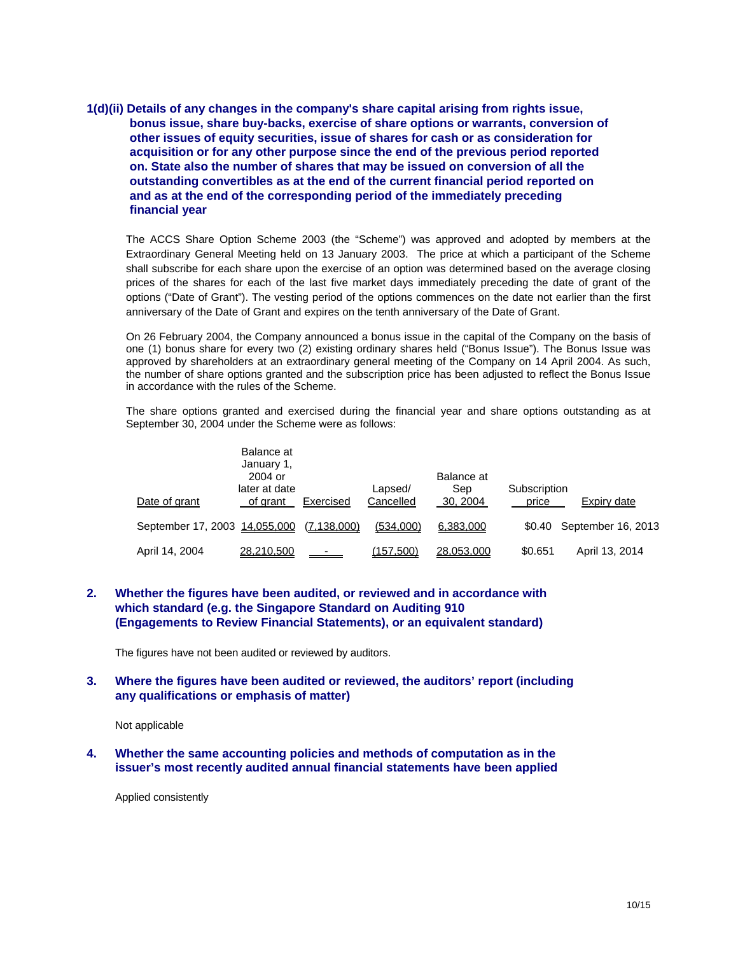**1(d)(ii) Details of any changes in the company's share capital arising from rights issue, bonus issue, share buy-backs, exercise of share options or warrants, conversion of other issues of equity securities, issue of shares for cash or as consideration for acquisition or for any other purpose since the end of the previous period reported on. State also the number of shares that may be issued on conversion of all the outstanding convertibles as at the end of the current financial period reported on and as at the end of the corresponding period of the immediately preceding financial year** 

The ACCS Share Option Scheme 2003 (the "Scheme") was approved and adopted by members at the Extraordinary General Meeting held on 13 January 2003. The price at which a participant of the Scheme shall subscribe for each share upon the exercise of an option was determined based on the average closing prices of the shares for each of the last five market days immediately preceding the date of grant of the options ("Date of Grant"). The vesting period of the options commences on the date not earlier than the first anniversary of the Date of Grant and expires on the tenth anniversary of the Date of Grant.

On 26 February 2004, the Company announced a bonus issue in the capital of the Company on the basis of one (1) bonus share for every two (2) existing ordinary shares held ("Bonus Issue"). The Bonus Issue was approved by shareholders at an extraordinary general meeting of the Company on 14 April 2004. As such, the number of share options granted and the subscription price has been adjusted to reflect the Bonus Issue in accordance with the rules of the Scheme.

The share options granted and exercised during the financial year and share options outstanding as at September 30, 2004 under the Scheme were as follows:

| Date of grant                 | Balance at<br>January 1,<br>2004 or<br>later at date<br>of grant | Exercised       | Lapsed/<br>Cancelled | Balance at<br>Sep<br>30, 2004 | Subscription<br>price | Expiry date               |
|-------------------------------|------------------------------------------------------------------|-----------------|----------------------|-------------------------------|-----------------------|---------------------------|
| September 17, 2003 14,055,000 |                                                                  | (7, 138, 000)   | (534,000)            | 6,383,000                     |                       | \$0.40 September 16, 2013 |
| April 14, 2004                | 28,210,500                                                       | $\sim$ 10 $\pm$ | (157,500)            | 28,053,000                    | \$0.651               | April 13, 2014            |

## **2. Whether the figures have been audited, or reviewed and in accordance with which standard (e.g. the Singapore Standard on Auditing 910 (Engagements to Review Financial Statements), or an equivalent standard)**

The figures have not been audited or reviewed by auditors.

#### **3. Where the figures have been audited or reviewed, the auditors' report (including any qualifications or emphasis of matter)**

Not applicable

**4. Whether the same accounting policies and methods of computation as in the issuer's most recently audited annual financial statements have been applied** 

Applied consistently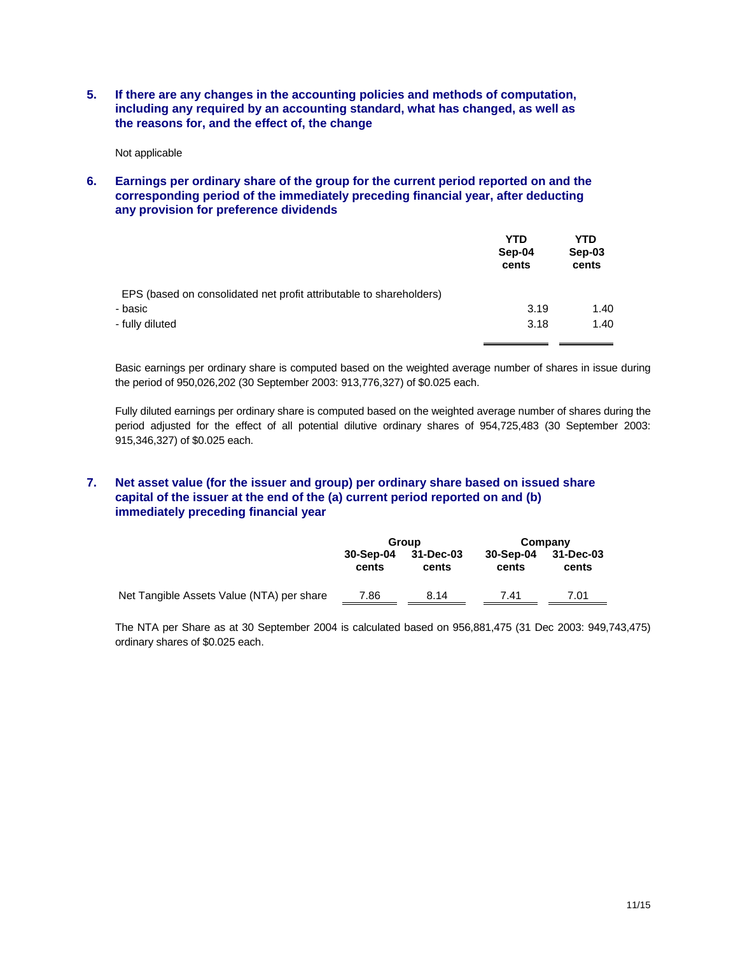**5. If there are any changes in the accounting policies and methods of computation, including any required by an accounting standard, what has changed, as well as the reasons for, and the effect of, the change** 

Not applicable

**6. Earnings per ordinary share of the group for the current period reported on and the corresponding period of the immediately preceding financial year, after deducting any provision for preference dividends** 

|                                                                     | <b>YTD</b><br>Sep-04<br>cents | YTD<br>Sep-03<br>cents |
|---------------------------------------------------------------------|-------------------------------|------------------------|
| EPS (based on consolidated net profit attributable to shareholders) |                               |                        |
| - basic                                                             | 3.19                          | 1.40                   |
| - fully diluted                                                     | 3.18                          | 1.40                   |
|                                                                     |                               |                        |

Basic earnings per ordinary share is computed based on the weighted average number of shares in issue during the period of 950,026,202 (30 September 2003: 913,776,327) of \$0.025 each.

Fully diluted earnings per ordinary share is computed based on the weighted average number of shares during the period adjusted for the effect of all potential dilutive ordinary shares of 954,725,483 (30 September 2003: 915,346,327) of \$0.025 each.

## **7. Net asset value (for the issuer and group) per ordinary share based on issued share capital of the issuer at the end of the (a) current period reported on and (b) immediately preceding financial year**

|                                           | Group              |                    |                    | Company            |
|-------------------------------------------|--------------------|--------------------|--------------------|--------------------|
|                                           | 30-Sep-04<br>cents | 31-Dec-03<br>cents | 30-Sep-04<br>cents | 31-Dec-03<br>cents |
| Net Tangible Assets Value (NTA) per share | 7.86               | 8.14               | 7.41               | 7.01               |

The NTA per Share as at 30 September 2004 is calculated based on 956,881,475 (31 Dec 2003: 949,743,475) ordinary shares of \$0.025 each.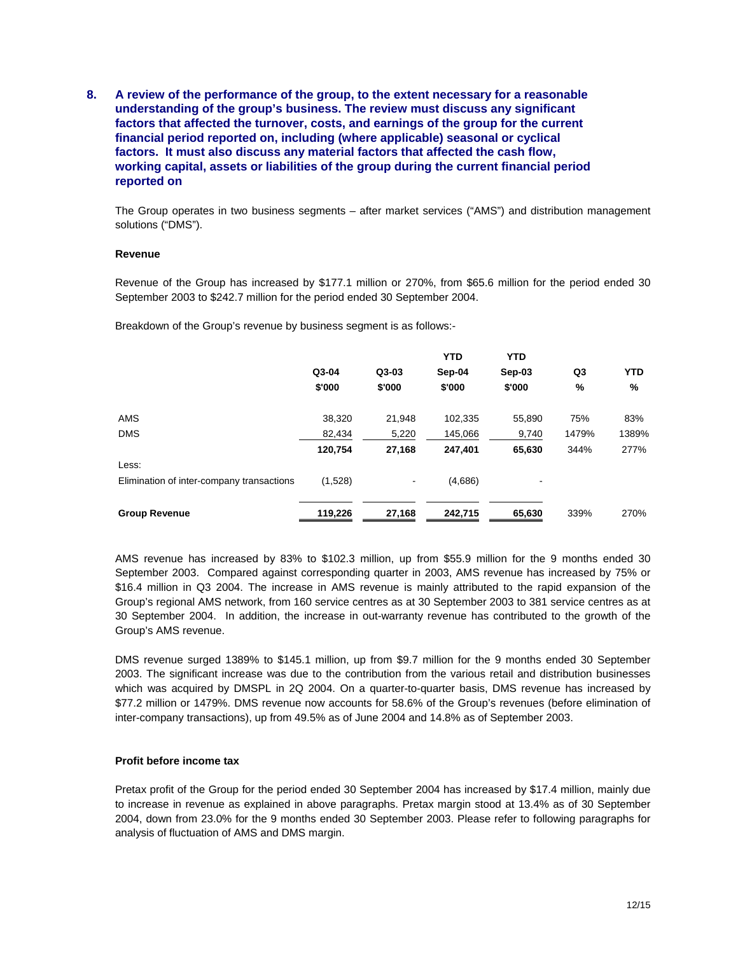**8. A review of the performance of the group, to the extent necessary for a reasonable understanding of the group's business. The review must discuss any significant factors that affected the turnover, costs, and earnings of the group for the current financial period reported on, including (where applicable) seasonal or cyclical factors. It must also discuss any material factors that affected the cash flow, working capital, assets or liabilities of the group during the current financial period reported on** 

The Group operates in two business segments – after market services ("AMS") and distribution management solutions ("DMS").

#### **Revenue**

Revenue of the Group has increased by \$177.1 million or 270%, from \$65.6 million for the period ended 30 September 2003 to \$242.7 million for the period ended 30 September 2004.

Breakdown of the Group's revenue by business segment is as follows:-

|                                           |         |         | <b>YTD</b> | <b>YTD</b> |       |            |
|-------------------------------------------|---------|---------|------------|------------|-------|------------|
|                                           | Q3-04   | $Q3-03$ | Sep-04     | $Sep-03$   | Q3    | <b>YTD</b> |
|                                           | \$'000  | \$'000  | \$'000     | \$'000     | %     | %          |
| AMS                                       | 38,320  | 21,948  | 102,335    | 55,890     | 75%   | 83%        |
| <b>DMS</b>                                | 82.434  | 5,220   | 145,066    | 9,740      | 1479% | 1389%      |
|                                           | 120,754 | 27,168  | 247,401    | 65,630     | 344%  | 277%       |
| Less:                                     |         |         |            |            |       |            |
| Elimination of inter-company transactions | (1,528) |         | (4,686)    |            |       |            |
|                                           |         |         |            |            |       |            |
| <b>Group Revenue</b>                      | 119,226 | 27,168  | 242,715    | 65,630     | 339%  | 270%       |

AMS revenue has increased by 83% to \$102.3 million, up from \$55.9 million for the 9 months ended 30 September 2003. Compared against corresponding quarter in 2003, AMS revenue has increased by 75% or \$16.4 million in Q3 2004. The increase in AMS revenue is mainly attributed to the rapid expansion of the Group's regional AMS network, from 160 service centres as at 30 September 2003 to 381 service centres as at 30 September 2004. In addition, the increase in out-warranty revenue has contributed to the growth of the Group's AMS revenue.

DMS revenue surged 1389% to \$145.1 million, up from \$9.7 million for the 9 months ended 30 September 2003. The significant increase was due to the contribution from the various retail and distribution businesses which was acquired by DMSPL in 2Q 2004. On a quarter-to-quarter basis, DMS revenue has increased by \$77.2 million or 1479%. DMS revenue now accounts for 58.6% of the Group's revenues (before elimination of inter-company transactions), up from 49.5% as of June 2004 and 14.8% as of September 2003.

#### **Profit before income tax**

Pretax profit of the Group for the period ended 30 September 2004 has increased by \$17.4 million, mainly due to increase in revenue as explained in above paragraphs. Pretax margin stood at 13.4% as of 30 September 2004, down from 23.0% for the 9 months ended 30 September 2003. Please refer to following paragraphs for analysis of fluctuation of AMS and DMS margin.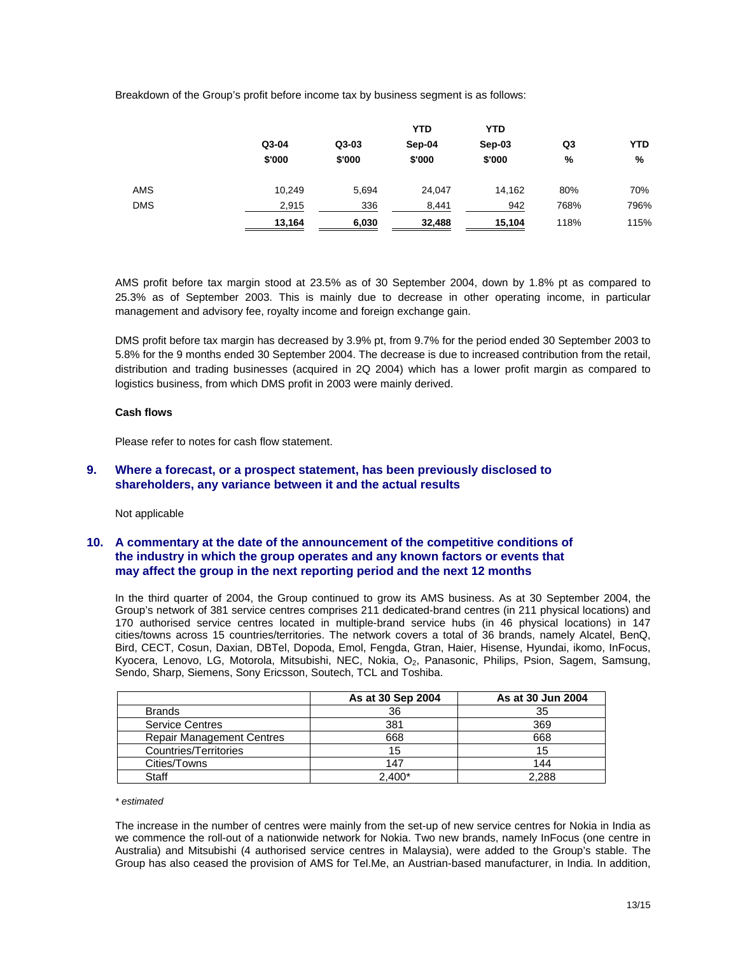Breakdown of the Group's profit before income tax by business segment is as follows:

|            |        |         | <b>YTD</b> | <b>YTD</b> |                |            |
|------------|--------|---------|------------|------------|----------------|------------|
|            | Q3-04  | $Q3-03$ | Sep-04     | Sep-03     | Q <sub>3</sub> | <b>YTD</b> |
|            | \$'000 | \$'000  | \$'000     | \$'000     | %              | %          |
| AMS        | 10,249 | 5,694   | 24.047     | 14.162     | 80%            | 70%        |
| <b>DMS</b> | 2,915  | 336     | 8,441      | 942        | 768%           | 796%       |
|            | 13,164 | 6,030   | 32,488     | 15,104     | 118%           | 115%       |

AMS profit before tax margin stood at 23.5% as of 30 September 2004, down by 1.8% pt as compared to 25.3% as of September 2003. This is mainly due to decrease in other operating income, in particular management and advisory fee, royalty income and foreign exchange gain.

DMS profit before tax margin has decreased by 3.9% pt, from 9.7% for the period ended 30 September 2003 to 5.8% for the 9 months ended 30 September 2004. The decrease is due to increased contribution from the retail, distribution and trading businesses (acquired in 2Q 2004) which has a lower profit margin as compared to logistics business, from which DMS profit in 2003 were mainly derived.

#### **Cash flows**

Please refer to notes for cash flow statement.

#### **9. Where a forecast, or a prospect statement, has been previously disclosed to shareholders, any variance between it and the actual results**

Not applicable

## **10. A commentary at the date of the announcement of the competitive conditions of the industry in which the group operates and any known factors or events that may affect the group in the next reporting period and the next 12 months**

In the third quarter of 2004, the Group continued to grow its AMS business. As at 30 September 2004, the Group's network of 381 service centres comprises 211 dedicated-brand centres (in 211 physical locations) and 170 authorised service centres located in multiple-brand service hubs (in 46 physical locations) in 147 cities/towns across 15 countries/territories. The network covers a total of 36 brands, namely Alcatel, BenQ, Bird, CECT, Cosun, Daxian, DBTel, Dopoda, Emol, Fengda, Gtran, Haier, Hisense, Hyundai, ikomo, InFocus, Kyocera, Lenovo, LG, Motorola, Mitsubishi, NEC, Nokia, O<sub>2</sub>, Panasonic, Philips, Psion, Sagem, Samsung, Sendo, Sharp, Siemens, Sony Ericsson, Soutech, TCL and Toshiba.

|                                  | As at 30 Sep 2004 | As at 30 Jun 2004 |
|----------------------------------|-------------------|-------------------|
| <b>Brands</b>                    | 36                | 35                |
| <b>Service Centres</b>           | 381               | 369               |
| <b>Repair Management Centres</b> | 668               | 668               |
| Countries/Territories            | 15                | 15                |
| Cities/Towns                     | 147               | 144               |
| Staff                            | $2.400*$          | 2.288             |

#### *\* estimated*

The increase in the number of centres were mainly from the set-up of new service centres for Nokia in India as we commence the roll-out of a nationwide network for Nokia. Two new brands, namely InFocus (one centre in Australia) and Mitsubishi (4 authorised service centres in Malaysia), were added to the Group's stable. The Group has also ceased the provision of AMS for Tel.Me, an Austrian-based manufacturer, in India. In addition,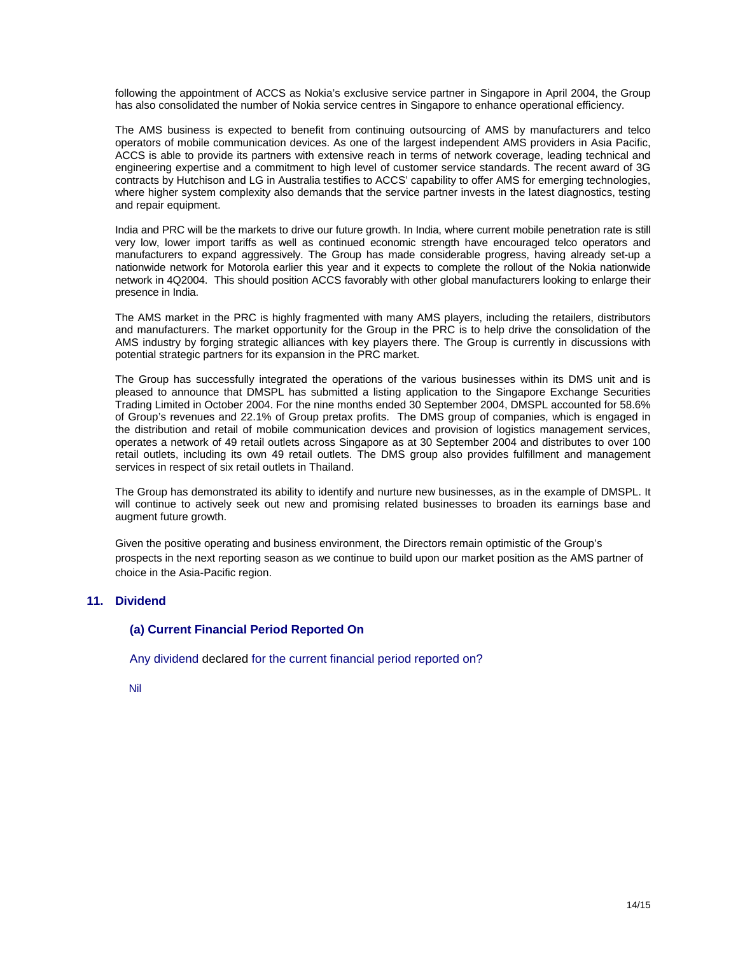following the appointment of ACCS as Nokia's exclusive service partner in Singapore in April 2004, the Group has also consolidated the number of Nokia service centres in Singapore to enhance operational efficiency.

The AMS business is expected to benefit from continuing outsourcing of AMS by manufacturers and telco operators of mobile communication devices. As one of the largest independent AMS providers in Asia Pacific, ACCS is able to provide its partners with extensive reach in terms of network coverage, leading technical and engineering expertise and a commitment to high level of customer service standards. The recent award of 3G contracts by Hutchison and LG in Australia testifies to ACCS' capability to offer AMS for emerging technologies, where higher system complexity also demands that the service partner invests in the latest diagnostics, testing and repair equipment.

India and PRC will be the markets to drive our future growth. In India, where current mobile penetration rate is still very low, lower import tariffs as well as continued economic strength have encouraged telco operators and manufacturers to expand aggressively. The Group has made considerable progress, having already set-up a nationwide network for Motorola earlier this year and it expects to complete the rollout of the Nokia nationwide network in 4Q2004. This should position ACCS favorably with other global manufacturers looking to enlarge their presence in India.

The AMS market in the PRC is highly fragmented with many AMS players, including the retailers, distributors and manufacturers. The market opportunity for the Group in the PRC is to help drive the consolidation of the AMS industry by forging strategic alliances with key players there. The Group is currently in discussions with potential strategic partners for its expansion in the PRC market.

The Group has successfully integrated the operations of the various businesses within its DMS unit and is pleased to announce that DMSPL has submitted a listing application to the Singapore Exchange Securities Trading Limited in October 2004. For the nine months ended 30 September 2004, DMSPL accounted for 58.6% of Group's revenues and 22.1% of Group pretax profits. The DMS group of companies, which is engaged in the distribution and retail of mobile communication devices and provision of logistics management services, operates a network of 49 retail outlets across Singapore as at 30 September 2004 and distributes to over 100 retail outlets, including its own 49 retail outlets. The DMS group also provides fulfillment and management services in respect of six retail outlets in Thailand.

The Group has demonstrated its ability to identify and nurture new businesses, as in the example of DMSPL. It will continue to actively seek out new and promising related businesses to broaden its earnings base and augment future growth.

Given the positive operating and business environment, the Directors remain optimistic of the Group's prospects in the next reporting season as we continue to build upon our market position as the AMS partner of choice in the Asia-Pacific region.

#### **11. Dividend**

## **(a) Current Financial Period Reported On**

Any dividend declared for the current financial period reported on?

Nil